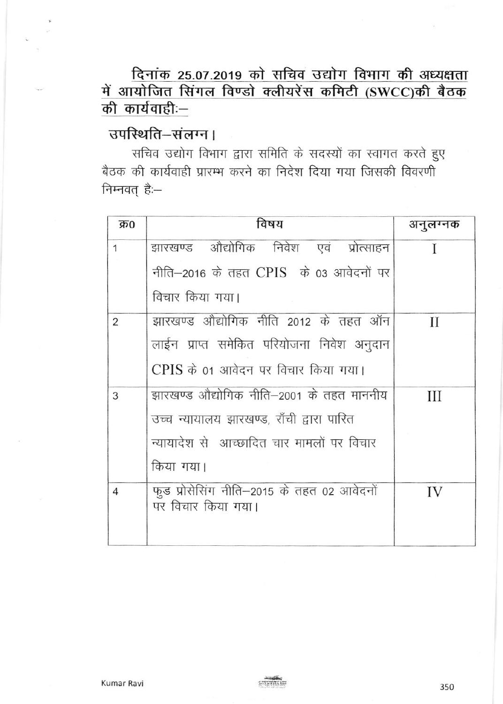दिनांक 25.07.2019 को सचिव उद्योग विभाग की अध्यक्षता में आयोजित सिंगल विण्डो क्लीयरेंस कमिटी (SWCC)की बैठक की कार्यवाहीः—

## उपस्थिति-संलग्न।

सचिव उद्योग विभाग द्वारा समिति के सदस्यों का स्वागत करते हुए बैठक की कार्यवाही प्रारम्भ करने का निदेश दिया गया जिसकी विवरणी निम्नवत् हैः-

| क्र0           | विषय                                                             | अनुलग्नक |
|----------------|------------------------------------------------------------------|----------|
| $\mathbf{1}$   | झारखण्ड औद्योगिक निवेश एवं प्रोत्साहन                            |          |
|                | नीति–2016 के तहत CPIS के 03 आवेदनों पर                           |          |
|                | विचार किया गया।                                                  |          |
| $\overline{2}$ | झारखण्ड औद्योगिक नीति 2012 के तहत ऑन                             | H        |
|                | लाईन प्राप्त समेकित परियोजना निवेश अनुदान                        |          |
|                | CPIS के 01 आवेदन पर विचार किया गया।                              |          |
| 3              | झारखण्ड औद्योगिक नीति–2001 के तहत माननीय                         | Ш        |
|                | उच्च न्यायालय झारखण्ड, राँची द्वारा पारित                        |          |
|                | न्यायादेश से आच्छादित चार मामलों पर विचार                        |          |
|                | किया गया।                                                        |          |
| $\overline{4}$ | फुड प्रोसेसिंग नीति–2015 के तहत 02 आवेदनों<br>पर विचार किया गया। | IV       |
|                |                                                                  |          |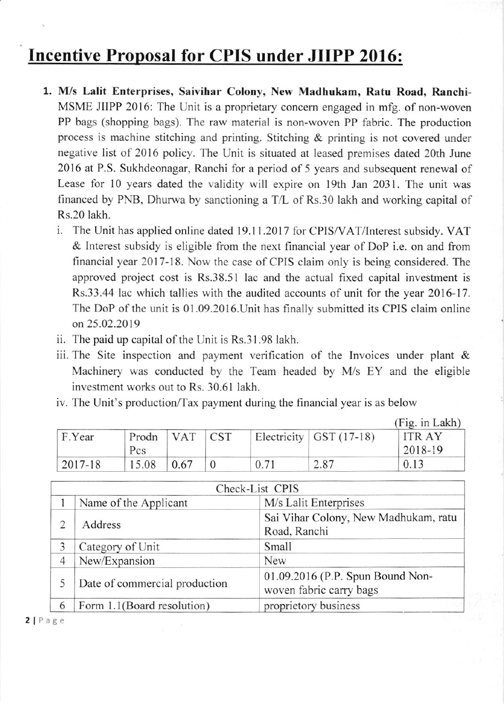## Incentive Proposal for CPIS under JIIPP 2016:

- 1. M/s Lalit Enterprises, Saivihar Colony, New Madhukam, Ratu Road, Ranchi-MSME JIIPP 2016: The Unit is a proprietary concem engaged in mfg. of non-woven PP bags (shopping bags). The raw material is non-woven PP fabric. The production process is machine stitching and printing. Stitching & printing is not covered under negative list of 2016 policy. The Unit is situated at leased premises dated 20th June 2016 at P.S. Sukhdeonagar, Ranchi for a period of 5 years and subsequent renewal of Lease for 10 years dated the validity will expire on l9th Jan 2031. The unit was financed by PNB, Dhurwa by sanctioning a T/L of Rs.30 lakh and working capital of Rs.20 lakh.
	- i. The Unit has applied online dated 19.11.2017 for CPIS/VAT/lnterest subsidy. VAT & Interest subsidy is eligible from the next financial year of DoP i.e. on and from financial year 2017-18. Now the case of CPIS claim only is being considered. The approved project cost is Rs.38.51 lac and the actual fixed capital investment is Rs.33.44 lac which tallies with the audited accounts of unit for the year 2016-17. The DoP of the unit is 01.09.2016.Unit has finally submitted its CPIS claim online on 25.02.2019
	- ii. The paid up capital of the Unit is Rs.31.98 lakh.
	- iii. The Site inspection and payment verification of the Invoices under plant & Machinery was conducted by the Team headed by M/s EY and the eligible investment works out to Rs. 30.61 lakh.
	- iv. The Unit's production/Tax payment during the financial year is as below

|         |              |      |            |      |                             | (Fig. in Lakh)          |
|---------|--------------|------|------------|------|-----------------------------|-------------------------|
| F.Year  | Prodn<br>Pcs | VAT  | <b>CST</b> |      | Electricity $ $ GST (17-18) | <b>ITRAY</b><br>2018-19 |
| 2017-18 | 15.08        | 0.67 |            | 0.71 | 2.87                        | 0.13                    |

|                               | Check-List CPIS            |                                                             |  |  |  |
|-------------------------------|----------------------------|-------------------------------------------------------------|--|--|--|
|                               | Name of the Applicant      | M/s Lalit Enterprises                                       |  |  |  |
| Address<br>2                  |                            | Sai Vihar Colony, New Madhukam, ratu<br>Road, Ranchi        |  |  |  |
| 3                             | Category of Unit           | Small                                                       |  |  |  |
| 4                             | New/Expansion              | <b>New</b>                                                  |  |  |  |
| Date of commercial production |                            | 01.09.2016 (P.P. Spun Bound Non-<br>woven fabric carry bags |  |  |  |
| 6                             | Form 1.1(Board resolution) | proprietory business                                        |  |  |  |

2 | Page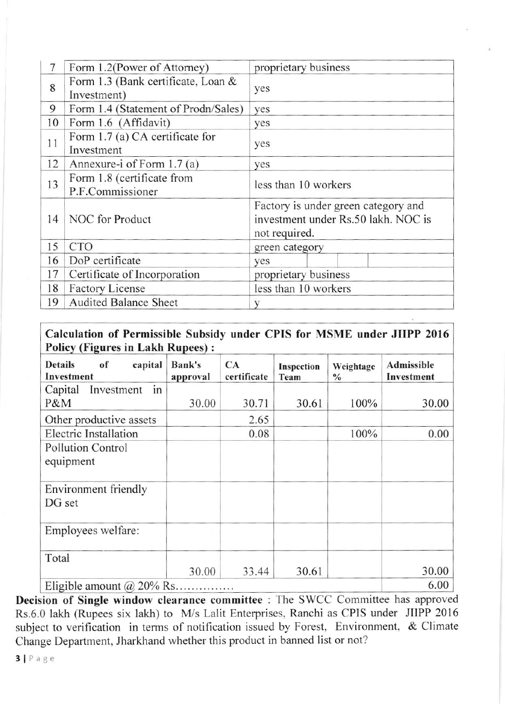| 7  | Form 1.2(Power of Attorney)                       | proprietary business                                                                        |  |  |
|----|---------------------------------------------------|---------------------------------------------------------------------------------------------|--|--|
| 8  | Form 1.3 (Bank certificate, Loan &<br>Investment) | yes                                                                                         |  |  |
| 9  | Form 1.4 (Statement of Prodn/Sales)               | yes                                                                                         |  |  |
| 10 | Form 1.6 (Affidavit)                              | yes                                                                                         |  |  |
| 11 | Form 1.7 (a) CA certificate for<br>Investment     | yes                                                                                         |  |  |
| 12 | Annexure-i of Form 1.7 (a)                        | yes                                                                                         |  |  |
| 13 | Form 1.8 (certificate from<br>P.F.Commissioner    | less than 10 workers                                                                        |  |  |
| 14 | NOC for Product                                   | Factory is under green category and<br>investment under Rs.50 lakh. NOC is<br>not required. |  |  |
| 15 | <b>CTO</b>                                        | green category                                                                              |  |  |
| 16 | DoP certificate                                   | yes                                                                                         |  |  |
| 17 | Certificate of Incorporation                      | proprietary business                                                                        |  |  |
| 18 | <b>Factory License</b>                            | less than 10 workers                                                                        |  |  |
| 19 | <b>Audited Balance Sheet</b>                      | V                                                                                           |  |  |

## Calculation of Permissible Subsidy under CPIS for MSME under JIIPP 2016 **Policy (Figures in Lakh Rupees):**

| of<br><b>Details</b><br>capital<br>Investment | <b>Bank's</b><br>approval | CA<br>certificate | Inspection<br>Team | Weightage<br>$\frac{0}{0}$ | Admissible<br>Investment |
|-----------------------------------------------|---------------------------|-------------------|--------------------|----------------------------|--------------------------|
| in<br>Capital<br>Investment                   |                           |                   |                    |                            |                          |
| P&M                                           | 30.00                     | 30.71             | 30.61              | 100%                       | 30.00                    |
| Other productive assets                       |                           | 2.65              |                    |                            |                          |
| <b>Electric Installation</b>                  |                           | 0.08              |                    | 100%                       | 0.00                     |
| <b>Pollution Control</b><br>equipment         |                           |                   |                    |                            |                          |
| Environment friendly<br>DG set                |                           |                   |                    |                            |                          |
| Employees welfare:                            |                           |                   |                    |                            |                          |
| Total                                         |                           |                   |                    |                            |                          |
|                                               | 30.00                     | 33.44             | 30.61              |                            | 30.00                    |
| Eligible amount $(a)$ 20% Rs                  | 6.00                      |                   |                    |                            |                          |

Decision of Single window clearance committee : The SWCC Committee has approved Rs.6.0 lakh (Rupees six lakh) to M/s Lalit Enterprises, Ranchi as CPIS under JIIPP 2016 subject to verification in terms of notification issued by Forest, Environment, & Climate Change Department, Jharkhand whether this product in banned list or not?